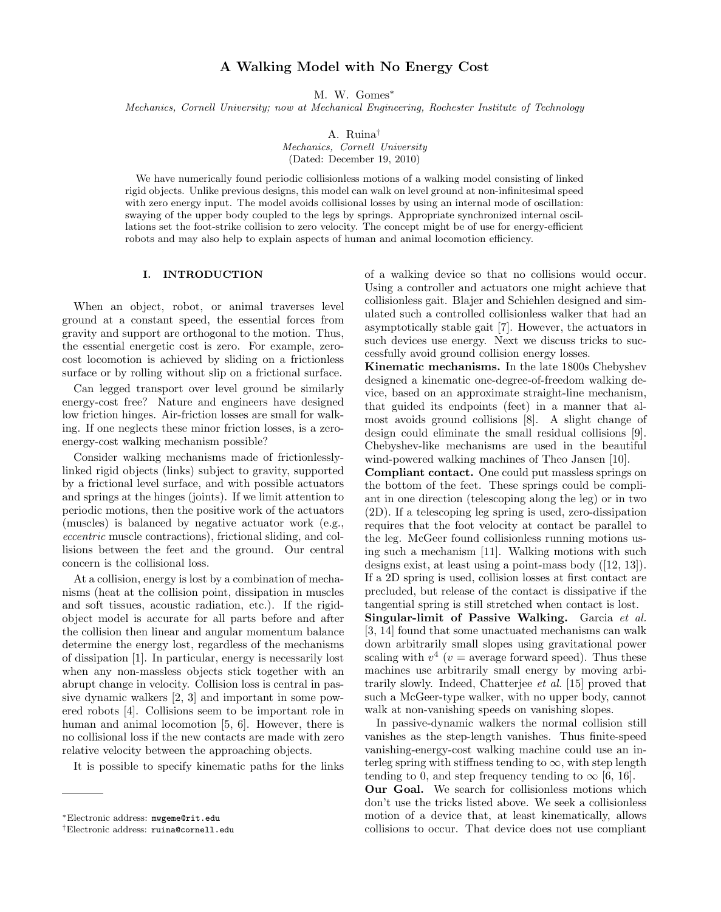# A Walking Model with No Energy Cost

M. W. Gomes<sup>\*</sup>

Mechanics, Cornell University; now at Mechanical Engineering, Rochester Institute of Technology

A. Ruina†

Mechanics, Cornell University (Dated: December 19, 2010)

We have numerically found periodic collisionless motions of a walking model consisting of linked rigid objects. Unlike previous designs, this model can walk on level ground at non-infinitesimal speed with zero energy input. The model avoids collisional losses by using an internal mode of oscillation: swaying of the upper body coupled to the legs by springs. Appropriate synchronized internal oscillations set the foot-strike collision to zero velocity. The concept might be of use for energy-efficient robots and may also help to explain aspects of human and animal locomotion efficiency.

### I. INTRODUCTION

When an object, robot, or animal traverses level ground at a constant speed, the essential forces from gravity and support are orthogonal to the motion. Thus, the essential energetic cost is zero. For example, zerocost locomotion is achieved by sliding on a frictionless surface or by rolling without slip on a frictional surface.

Can legged transport over level ground be similarly energy-cost free? Nature and engineers have designed low friction hinges. Air-friction losses are small for walking. If one neglects these minor friction losses, is a zeroenergy-cost walking mechanism possible?

Consider walking mechanisms made of frictionlesslylinked rigid objects (links) subject to gravity, supported by a frictional level surface, and with possible actuators and springs at the hinges (joints). If we limit attention to periodic motions, then the positive work of the actuators (muscles) is balanced by negative actuator work (e.g., eccentric muscle contractions), frictional sliding, and collisions between the feet and the ground. Our central concern is the collisional loss.

At a collision, energy is lost by a combination of mechanisms (heat at the collision point, dissipation in muscles and soft tissues, acoustic radiation, etc.). If the rigidobject model is accurate for all parts before and after the collision then linear and angular momentum balance determine the energy lost, regardless of the mechanisms of dissipation [1]. In particular, energy is necessarily lost when any non-massless objects stick together with an abrupt change in velocity. Collision loss is central in passive dynamic walkers [2, 3] and important in some powered robots [4]. Collisions seem to be important role in human and animal locomotion [5, 6]. However, there is no collisional loss if the new contacts are made with zero relative velocity between the approaching objects.

It is possible to specify kinematic paths for the links

of a walking device so that no collisions would occur. Using a controller and actuators one might achieve that collisionless gait. Blajer and Schiehlen designed and simulated such a controlled collisionless walker that had an asymptotically stable gait [7]. However, the actuators in such devices use energy. Next we discuss tricks to successfully avoid ground collision energy losses.

Kinematic mechanisms. In the late 1800s Chebyshev designed a kinematic one-degree-of-freedom walking device, based on an approximate straight-line mechanism, that guided its endpoints (feet) in a manner that almost avoids ground collisions [8]. A slight change of design could eliminate the small residual collisions [9]. Chebyshev-like mechanisms are used in the beautiful wind-powered walking machines of Theo Jansen [10].

Compliant contact. One could put massless springs on the bottom of the feet. These springs could be compliant in one direction (telescoping along the leg) or in two (2D). If a telescoping leg spring is used, zero-dissipation requires that the foot velocity at contact be parallel to the leg. McGeer found collisionless running motions using such a mechanism [11]. Walking motions with such designs exist, at least using a point-mass body ([12, 13]). If a 2D spring is used, collision losses at first contact are precluded, but release of the contact is dissipative if the tangential spring is still stretched when contact is lost.

Singular-limit of Passive Walking. Garcia et al. [3, 14] found that some unactuated mechanisms can walk down arbitrarily small slopes using gravitational power scaling with  $v^4$  ( $v =$  average forward speed). Thus these machines use arbitrarily small energy by moving arbitrarily slowly. Indeed, Chatterjee et al. [15] proved that such a McGeer-type walker, with no upper body, cannot walk at non-vanishing speeds on vanishing slopes.

In passive-dynamic walkers the normal collision still vanishes as the step-length vanishes. Thus finite-speed vanishing-energy-cost walking machine could use an interleg spring with stiffness tending to  $\infty$ , with step length tending to 0, and step frequency tending to  $\infty$  [6, 16].

Our Goal. We search for collisionless motions which don't use the tricks listed above. We seek a collisionless motion of a device that, at least kinematically, allows collisions to occur. That device does not use compliant

<sup>∗</sup>Electronic address: mwgeme@rit.edu

<sup>†</sup>Electronic address: ruina@cornell.edu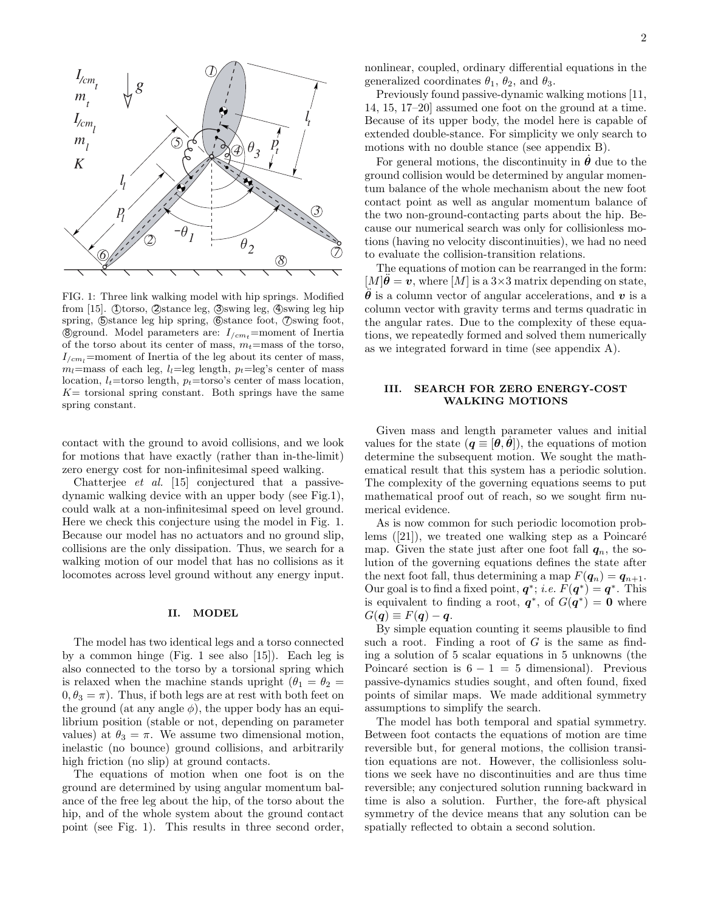

FIG. 1: Three link walking model with hip springs. Modified from [15]. (Dtorso, Qstance leg,  $\oslash$ swing leg,  $\oslash$ swing leg hip spring,  $\Theta$ stance leg hip spring,  $\Theta$ stance foot,  $\Theta$ swing foot, **8** ground. Model parameters are:  $I_{/cm}$ =moment of Inertia of the torso about its center of mass,  $m_t$ =mass of the torso,  $I_{\ell cm}$ =moment of Inertia of the leg about its center of mass,  $m_l$ =mass of each leg,  $l_l$ =leg length,  $p_t$ =leg's center of mass location,  $l_t$ =torso length,  $p_t$ =torso's center of mass location,  $K=$  torsional spring constant. Both springs have the same spring constant.

contact with the ground to avoid collisions, and we look for motions that have exactly (rather than in-the-limit) zero energy cost for non-infinitesimal speed walking.

Chatterjee et al. [15] conjectured that a passivedynamic walking device with an upper body (see Fig.1), could walk at a non-infinitesimal speed on level ground. Here we check this conjecture using the model in Fig. 1. Because our model has no actuators and no ground slip, collisions are the only dissipation. Thus, we search for a walking motion of our model that has no collisions as it locomotes across level ground without any energy input.

### II. MODEL

The model has two identical legs and a torso connected by a common hinge (Fig. 1 see also [15]). Each leg is also connected to the torso by a torsional spring which is relaxed when the machine stands upright  $(\theta_1 = \theta_2 =$  $0, \theta_3 = \pi$ ). Thus, if both legs are at rest with both feet on the ground (at any angle  $\phi$ ), the upper body has an equilibrium position (stable or not, depending on parameter values) at  $\theta_3 = \pi$ . We assume two dimensional motion, inelastic (no bounce) ground collisions, and arbitrarily high friction (no slip) at ground contacts.

The equations of motion when one foot is on the ground are determined by using angular momentum balance of the free leg about the hip, of the torso about the hip, and of the whole system about the ground contact point (see Fig. 1). This results in three second order, nonlinear, coupled, ordinary differential equations in the generalized coordinates  $\theta_1$ ,  $\theta_2$ , and  $\theta_3$ .

Previously found passive-dynamic walking motions [11, 14, 15, 17–20] assumed one foot on the ground at a time. Because of its upper body, the model here is capable of extended double-stance. For simplicity we only search to motions with no double stance (see appendix B).

For general motions, the discontinuity in  $\theta$  due to the ground collision would be determined by angular momentum balance of the whole mechanism about the new foot contact point as well as angular momentum balance of the two non-ground-contacting parts about the hip. Because our numerical search was only for collisionless motions (having no velocity discontinuities), we had no need to evaluate the collision-transition relations.

The equations of motion can be rearranged in the form:  $[M]\boldsymbol{\theta} = \boldsymbol{v}$ , where  $[M]$  is a 3×3 matrix depending on state,  $\theta$  is a column vector of angular accelerations, and v is a column vector with gravity terms and terms quadratic in the angular rates. Due to the complexity of these equations, we repeatedly formed and solved them numerically as we integrated forward in time (see appendix A).

## III. SEARCH FOR ZERO ENERGY-COST WALKING MOTIONS

Given mass and length parameter values and initial values for the state  $(q = [\theta, \dot{\theta}])$ , the equations of motion determine the subsequent motion. We sought the mathematical result that this system has a periodic solution. The complexity of the governing equations seems to put mathematical proof out of reach, so we sought firm numerical evidence.

As is now common for such periodic locomotion problems  $([21])$ , we treated one walking step as a Poincaré map. Given the state just after one foot fall  $q_n$ , the solution of the governing equations defines the state after the next foot fall, thus determining a map  $F(\boldsymbol{q}_n) = \boldsymbol{q}_{n+1}$ . Our goal is to find a fixed point,  $q^*$ ; *i.e.*  $F(q^*) = q^*$ . This is equivalent to finding a root,  $q^*$ , of  $G(q^*) = 0$  where  $G(q) \equiv F(q) - q$ .

By simple equation counting it seems plausible to find such a root. Finding a root of  $G$  is the same as finding a solution of 5 scalar equations in 5 unknowns (the Poincaré section is  $6 - 1 = 5$  dimensional). Previous passive-dynamics studies sought, and often found, fixed points of similar maps. We made additional symmetry assumptions to simplify the search.

The model has both temporal and spatial symmetry. Between foot contacts the equations of motion are time reversible but, for general motions, the collision transition equations are not. However, the collisionless solutions we seek have no discontinuities and are thus time reversible; any conjectured solution running backward in time is also a solution. Further, the fore-aft physical symmetry of the device means that any solution can be spatially reflected to obtain a second solution.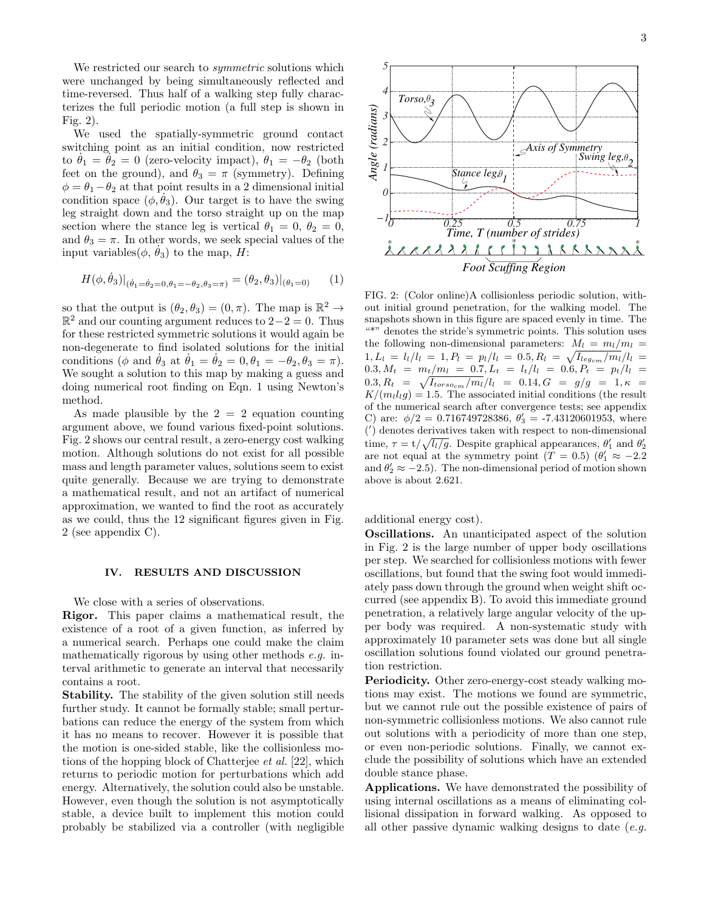We restricted our search to *symmetric* solutions which were unchanged by being simultaneously reflected and time-reversed. Thus half of a walking step fully characterizes the full periodic motion (a full step is shown in Fig. 2).

We used the spatially-symmetric ground contact switching point as an initial condition, now restricted to  $\theta_1 = \theta_2 = 0$  (zero-velocity impact),  $\theta_1 = -\theta_2$  (both feet on the ground), and  $\theta_3 = \pi$  (symmetry). Defining  $\phi = \theta_1 - \theta_2$  at that point results in a 2 dimensional initial condition space  $(\phi, \theta_3)$ . Our target is to have the swing leg straight down and the torso straight up on the map section where the stance leg is vertical  $\theta_1 = 0, \theta_2 = 0,$ and  $\theta_3 = \pi$ . In other words, we seek special values of the input variables $(\phi, \dot{\theta}_3)$  to the map, H:

$$
H(\phi, \dot{\theta}_3)|_{(\dot{\theta}_1 = \dot{\theta}_2 = 0, \theta_1 = -\theta_2, \theta_3 = \pi)} = (\theta_2, \theta_3)|_{(\theta_1 = 0)} \tag{1}
$$

so that the output is  $(\theta_2, \theta_3) = (0, \pi)$ . The map is  $\mathbb{R}^2 \to$  $\mathbb{R}^2$  and our counting argument reduces to 2-2 = 0. Thus for these restricted symmetric solutions it would again be non-degenerate to find isolated solutions for the initial conditions ( $\phi$  and  $\dot{\theta}_3$  at  $\dot{\theta}_1 = \dot{\theta}_2 = 0, \theta_1 = -\theta_2, \theta_3 = \pi$ ). We sought a solution to this map by making a guess and doing numerical root finding on Eqn. 1 using Newton's method.

As made plausible by the  $2 = 2$  equation counting argument above, we found various fixed-point solutions. Fig. 2 shows our central result, a zero-energy cost walking motion. Although solutions do not exist for all possible mass and length parameter values, solutions seem to exist quite generally. Because we are trying to demonstrate a mathematical result, and not an artifact of numerical approximation, we wanted to find the root as accurately as we could, thus the 12 significant figures given in Fig. 2 (see appendix C).

### IV. RESULTS AND DISCUSSION

We close with a series of observations.

Rigor. This paper claims a mathematical result, the existence of a root of a given function, as inferred by a numerical search. Perhaps one could make the claim mathematically rigorous by using other methods e.g. interval arithmetic to generate an interval that necessarily contains a root.

Stability. The stability of the given solution still needs further study. It cannot be formally stable; small perturbations can reduce the energy of the system from which it has no means to recover. However it is possible that the motion is one-sided stable, like the collisionless motions of the hopping block of Chatterjee et al. [22], which returns to periodic motion for perturbations which add energy. Alternatively, the solution could also be unstable. However, even though the solution is not asymptotically stable, a device built to implement this motion could probably be stabilized via a controller (with negligible



FIG. 2: (Color online)A collisionless periodic solution, without initial ground penetration, for the walking model. The snapshots shown in this figure are spaced evenly in time. The "\*" denotes the stride's symmetric points. This solution uses the following non-dimensional parameters:  $M_l = m_l/m_l$  $1, L_l = l_l/l_l = 1, P_l = p_l/l_l = 0.5, R_l = \sqrt{I_{leg_{cm}}/m_l}/l_l =$  $0.3, M_t = m_t/m_l = 0.7, L_t = l_t/l_l = 0.6, P_t = p_t/l_l =$  $0.3, R_t = \sqrt{I_{torso_{cm}}/m_l}/l_l = 0.14, G = g/g = 1, \kappa =$  $K/(m_l l_l g) = 1.5$ . The associated initial conditions (the result of the numerical search after convergence tests; see appendix C) are:  $\phi/2 = 0.716749728386, \theta'_3 = -7.43120601953$ , where ( ′ ) denotes derivatives taken with respect to non-dimensional time,  $\tau = t/\sqrt{l_l/g}$ . Despite graphical appearances,  $\theta'_1$  and  $\theta'_2$ are not equal at the symmetry point  $(T = 0.5)$   $(\theta'_1 \approx -2.2)$ and  $\theta'_2 \approx -2.5$ ). The non-dimensional period of motion shown above is about 2.621.

additional energy cost).

Oscillations. An unanticipated aspect of the solution in Fig. 2 is the large number of upper body oscillations per step. We searched for collisionless motions with fewer oscillations, but found that the swing foot would immediately pass down through the ground when weight shift occurred (see appendix B). To avoid this immediate ground penetration, a relatively large angular velocity of the upper body was required. A non-systematic study with approximately 10 parameter sets was done but all single oscillation solutions found violated our ground penetration restriction.

Periodicity. Other zero-energy-cost steady walking motions may exist. The motions we found are symmetric, but we cannot rule out the possible existence of pairs of non-symmetric collisionless motions. We also cannot rule out solutions with a periodicity of more than one step, or even non-periodic solutions. Finally, we cannot exclude the possibility of solutions which have an extended double stance phase.

Applications. We have demonstrated the possibility of using internal oscillations as a means of eliminating collisional dissipation in forward walking. As opposed to all other passive dynamic walking designs to date  $(e.g.,\)$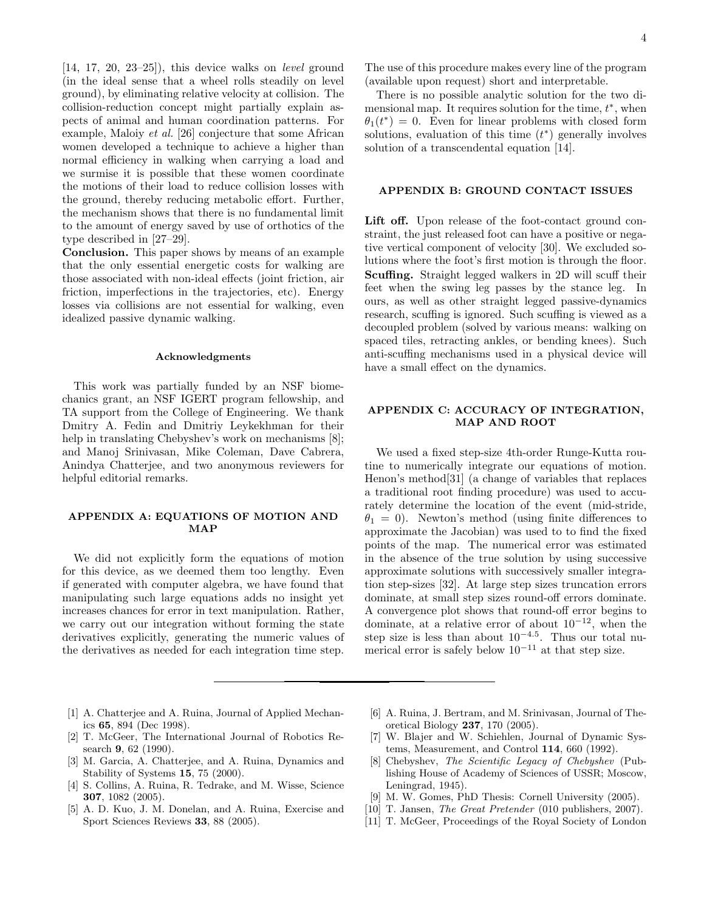$[14, 17, 20, 23-25]$ , this device walks on *level* ground (in the ideal sense that a wheel rolls steadily on level ground), by eliminating relative velocity at collision. The collision-reduction concept might partially explain aspects of animal and human coordination patterns. For example, Maloiy et al. [26] conjecture that some African women developed a technique to achieve a higher than normal efficiency in walking when carrying a load and we surmise it is possible that these women coordinate the motions of their load to reduce collision losses with the ground, thereby reducing metabolic effort. Further, the mechanism shows that there is no fundamental limit to the amount of energy saved by use of orthotics of the type described in [27–29].

Conclusion. This paper shows by means of an example that the only essential energetic costs for walking are those associated with non-ideal effects (joint friction, air friction, imperfections in the trajectories, etc). Energy losses via collisions are not essential for walking, even idealized passive dynamic walking.

#### Acknowledgments

This work was partially funded by an NSF biomechanics grant, an NSF IGERT program fellowship, and TA support from the College of Engineering. We thank Dmitry A. Fedin and Dmitriy Leykekhman for their help in translating Chebyshev's work on mechanisms [8]; and Manoj Srinivasan, Mike Coleman, Dave Cabrera, Anindya Chatterjee, and two anonymous reviewers for helpful editorial remarks.

### APPENDIX A: EQUATIONS OF MOTION AND MAP

We did not explicitly form the equations of motion for this device, as we deemed them too lengthy. Even if generated with computer algebra, we have found that manipulating such large equations adds no insight yet increases chances for error in text manipulation. Rather, we carry out our integration without forming the state derivatives explicitly, generating the numeric values of the derivatives as needed for each integration time step.

The use of this procedure makes every line of the program (available upon request) short and interpretable.

There is no possible analytic solution for the two dimensional map. It requires solution for the time,  $t^*$ , when  $\theta_1(t^*) = 0$ . Even for linear problems with closed form solutions, evaluation of this time  $(t^*)$  generally involves solution of a transcendental equation [14].

#### APPENDIX B: GROUND CONTACT ISSUES

Lift off. Upon release of the foot-contact ground constraint, the just released foot can have a positive or negative vertical component of velocity [30]. We excluded solutions where the foot's first motion is through the floor. Scuffing. Straight legged walkers in 2D will scuff their feet when the swing leg passes by the stance leg. In ours, as well as other straight legged passive-dynamics research, scuffing is ignored. Such scuffing is viewed as a decoupled problem (solved by various means: walking on spaced tiles, retracting ankles, or bending knees). Such anti-scuffing mechanisms used in a physical device will have a small effect on the dynamics.

# APPENDIX C: ACCURACY OF INTEGRATION, MAP AND ROOT

We used a fixed step-size 4th-order Runge-Kutta routine to numerically integrate our equations of motion. Henon's method[31] (a change of variables that replaces a traditional root finding procedure) was used to accurately determine the location of the event (mid-stride,  $\theta_1 = 0$ ). Newton's method (using finite differences to approximate the Jacobian) was used to to find the fixed points of the map. The numerical error was estimated in the absence of the true solution by using successive approximate solutions with successively smaller integration step-sizes [32]. At large step sizes truncation errors dominate, at small step sizes round-off errors dominate. A convergence plot shows that round-off error begins to dominate, at a relative error of about  $10^{-12}$ , when the step size is less than about  $10^{-4.5}$ . Thus our total numerical error is safely below  $10^{-11}$  at that step size.

- [1] A. Chatterjee and A. Ruina, Journal of Applied Mechanics 65, 894 (Dec 1998).
- [2] T. McGeer, The International Journal of Robotics Research 9, 62 (1990).
- [3] M. Garcia, A. Chatterjee, and A. Ruina, Dynamics and Stability of Systems 15, 75 (2000).
- [4] S. Collins, A. Ruina, R. Tedrake, and M. Wisse, Science 307, 1082 (2005).
- [5] A. D. Kuo, J. M. Donelan, and A. Ruina, Exercise and Sport Sciences Reviews 33, 88 (2005).
- [6] A. Ruina, J. Bertram, and M. Srinivasan, Journal of Theoretical Biology 237, 170 (2005).
- [7] W. Blajer and W. Schiehlen, Journal of Dynamic Systems, Measurement, and Control 114, 660 (1992).
- [8] Chebyshev, The Scientific Legacy of Chebyshev (Publishing House of Academy of Sciences of USSR; Moscow, Leningrad, 1945).
- [9] M. W. Gomes, PhD Thesis: Cornell University (2005).
- [10] T. Jansen, *The Great Pretender* (010 publishers, 2007).
- [11] T. McGeer, Proceedings of the Royal Society of London